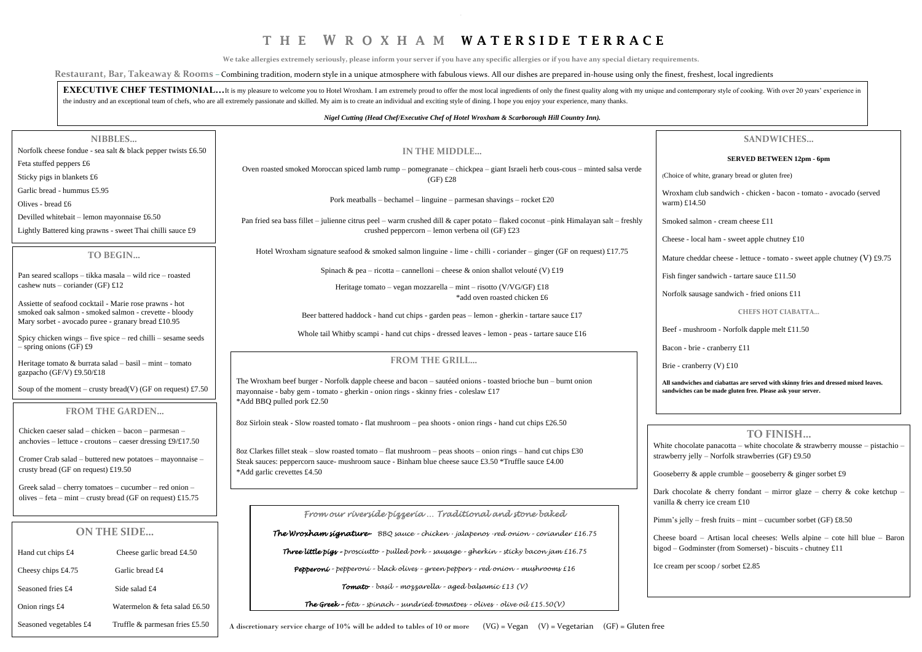**EXECUTIVE CHEF TESTIMONIAL...**It is my pleasure to welcome you to Hotel Wroxham. I am extremely proud to offer the most local ingredients of only the finest quality along with my unique and contemporary style of cooking. the industry and an exceptional team of chefs, who are all extremely passionate and skilled. My aim is to create an individual and exciting style of dining. I hope you enjoy your experience, many thanks.

### *Nigel Cutting (Head Chef/Executive Chef of Hotel Wroxham & Scarborough Hill Country Inn).*

|                                                                                                          | NIBBLES                                                                                                         |                                                                                                                                                                                                        |                                                                                                                                          |                                |  |
|----------------------------------------------------------------------------------------------------------|-----------------------------------------------------------------------------------------------------------------|--------------------------------------------------------------------------------------------------------------------------------------------------------------------------------------------------------|------------------------------------------------------------------------------------------------------------------------------------------|--------------------------------|--|
|                                                                                                          | Norfolk cheese fondue - sea salt & black pepper twists £6.50                                                    |                                                                                                                                                                                                        | IN THE MIDDLE                                                                                                                            |                                |  |
| Feta stuffed peppers £6                                                                                  |                                                                                                                 |                                                                                                                                                                                                        |                                                                                                                                          |                                |  |
| Sticky pigs in blankets £6                                                                               |                                                                                                                 |                                                                                                                                                                                                        | Oven roasted smoked Moroccan spiced lamb rump – pomegranate – chickpea – giant Israeli herb cous-cous – minted salsa verde<br>$(GF)$ £28 |                                |  |
| Garlic bread - hummus £5.95                                                                              |                                                                                                                 |                                                                                                                                                                                                        |                                                                                                                                          | Wroxham                        |  |
| Olives - bread £6                                                                                        |                                                                                                                 | Pork meatballs – bechamel – linguine – parmesan shavings – rocket £20                                                                                                                                  |                                                                                                                                          |                                |  |
| Devilled whitebait – lemon mayonnaise £6.50<br>Lightly Battered king prawns - sweet Thai chilli sauce £9 |                                                                                                                 | Pan fried sea bass fillet – julienne citrus peel – warm crushed dill & caper potato – flaked coconut –pink Himalayan salt – freshly                                                                    |                                                                                                                                          |                                |  |
|                                                                                                          |                                                                                                                 |                                                                                                                                                                                                        | crushed peppercorn - lemon verbena oil (GF) £23                                                                                          |                                |  |
|                                                                                                          |                                                                                                                 |                                                                                                                                                                                                        |                                                                                                                                          | Cheese - lo                    |  |
| TO BEGIN                                                                                                 |                                                                                                                 | Hotel Wroxham signature seafood & smoked salmon linguine - lime - chilli - coriander – ginger (GF on request) £17.75                                                                                   |                                                                                                                                          |                                |  |
|                                                                                                          |                                                                                                                 | Spinach & pea – ricotta – cannelloni – cheese & onion shallot velouté (V) £19                                                                                                                          |                                                                                                                                          |                                |  |
| cashew nuts – coriander (GF) £12                                                                         | Pan seared scallops - tikka masala - wild rice - roasted                                                        |                                                                                                                                                                                                        | Heritage tomato – vegan mozzarella – mint – risotto (V/VG/GF) £18                                                                        | Fish finger                    |  |
|                                                                                                          |                                                                                                                 |                                                                                                                                                                                                        | *add oven roasted chicken £6                                                                                                             |                                |  |
|                                                                                                          | Assiette of seafood cocktail - Marie rose prawns - hot<br>smoked oak salmon - smoked salmon - crevette - bloody |                                                                                                                                                                                                        |                                                                                                                                          |                                |  |
|                                                                                                          | Mary sorbet - avocado puree - granary bread £10.95                                                              |                                                                                                                                                                                                        | Beer battered haddock - hand cut chips - garden peas - lemon - gherkin - tartare sauce £17                                               | Beef - mus                     |  |
|                                                                                                          | Spicy chicken wings - five spice - red chilli - sesame seeds                                                    | Whole tail Whitby scampi - hand cut chips - dressed leaves - lemon - peas - tartare sauce £16                                                                                                          |                                                                                                                                          |                                |  |
| $-$ spring onions (GF) £9                                                                                |                                                                                                                 |                                                                                                                                                                                                        |                                                                                                                                          | Bacon - br                     |  |
|                                                                                                          | Heritage tomato & burrata salad $-$ basil $-$ mint $-$ tomato                                                   |                                                                                                                                                                                                        | <b>FROM THE GRILL</b>                                                                                                                    | Brie - cran                    |  |
| gazpacho (GF/V) £9.50/£18                                                                                |                                                                                                                 |                                                                                                                                                                                                        |                                                                                                                                          | All sandwich                   |  |
|                                                                                                          | Soup of the moment – crusty bread(V) (GF on request) £7.50                                                      | The Wroxham beef burger - Norfolk dapple cheese and bacon - sautéed onions - toasted brioche bun - burnt onion<br>mayonnaise - baby gem - tomato - gherkin - onion rings - skinny fries - coleslaw £17 |                                                                                                                                          |                                |  |
|                                                                                                          |                                                                                                                 | *Add BBQ pulled pork £2.50                                                                                                                                                                             |                                                                                                                                          | sandwiches o                   |  |
|                                                                                                          | <b>FROM THE GARDEN</b>                                                                                          |                                                                                                                                                                                                        |                                                                                                                                          |                                |  |
|                                                                                                          | Chicken caeser salad - chicken - bacon - parmesan -                                                             |                                                                                                                                                                                                        | 8oz Sirloin steak - Slow roasted tomato - flat mushroom – pea shoots - onion rings - hand cut chips £26.50                               |                                |  |
|                                                                                                          | anchovies – lettuce - croutons – caeser dressing £9/ $£17.50$                                                   |                                                                                                                                                                                                        |                                                                                                                                          |                                |  |
|                                                                                                          |                                                                                                                 |                                                                                                                                                                                                        | 8oz Clarkes fillet steak – slow roasted tomato – flat mushroom – peas shoots – onion rings – hand cut chips £30                          | White chocol<br>strawberry jel |  |
| crusty bread (GF on request) £19.50                                                                      | Cromer Crab salad – buttered new potatoes – mayonnaise –                                                        | Steak sauces: peppercorn sauce- mushroom sauce - Binham blue cheese sauce £3.50 *Truffle sauce £4.00                                                                                                   |                                                                                                                                          |                                |  |
|                                                                                                          |                                                                                                                 | *Add garlic crevettes £4.50                                                                                                                                                                            |                                                                                                                                          | Gooseberry &                   |  |
|                                                                                                          | Greek salad – cherry tomatoes – cucumber – red onion –                                                          |                                                                                                                                                                                                        |                                                                                                                                          | Dark chocola                   |  |
|                                                                                                          | olives – feta – mint – crusty bread (GF on request) £15.75                                                      |                                                                                                                                                                                                        |                                                                                                                                          | vanilla & che                  |  |
|                                                                                                          |                                                                                                                 |                                                                                                                                                                                                        | From our riverside pizzeria Traditional and stone baked                                                                                  | Pimm's jelly                   |  |
|                                                                                                          | <b>ON THE SIDE</b>                                                                                              |                                                                                                                                                                                                        | <b>The Wroxham signature-</b> BBQ sauce - chicken - jalapenos - red onion - coriander £16.75                                             |                                |  |
|                                                                                                          |                                                                                                                 |                                                                                                                                                                                                        |                                                                                                                                          | Cheese board                   |  |
| Hand cut chips £4                                                                                        | Cheese garlic bread £4.50                                                                                       |                                                                                                                                                                                                        | Three little pigs - prosciutto - pulled pork - sausage - gherkin - sticky bacon jam £16.75                                               | bigod - Godn                   |  |
| Cheesy chips £4.75                                                                                       | Garlic bread £4                                                                                                 |                                                                                                                                                                                                        | Pepperoní - pepperoní - black olíves - green peppers - red oníon - mushrooms £16                                                         | Ice cream per                  |  |
| Seasoned fries £4                                                                                        | Side salad £4                                                                                                   |                                                                                                                                                                                                        | Tomato - basil - mozzarella - aged balsamic £13 (V)                                                                                      |                                |  |
|                                                                                                          |                                                                                                                 |                                                                                                                                                                                                        |                                                                                                                                          |                                |  |
| Onion rings £4                                                                                           | Watermelon & feta salad £6.50                                                                                   |                                                                                                                                                                                                        | <b>The Greek -</b> feta - spinach - sundried tomatoes - olives $\cdot$ olive oil £15.50(V)                                               |                                |  |

Seasoned vegetables £4 Truffle & parmesan fries £5.50

 $\overline{a}$ 

# **TO FINISH…**

late panacotta – white chocolate  $\&$  strawberry mousse – pistachio –  $sllly -$  Norfolk strawberries (GF) £9.50

& apple crumble – gooseberry & ginger sorbet  $£9$ 

ate & cherry fondant – mirror glaze – cherry & coke ketchup erry ice cream  $£10$ 

 $-$  fresh fruits – mint – cucumber sorbet (GF) £8.50

 $d$  – Artisan local cheeses: Wells alpine – cote hill blue – Baron minster (from Somerset) - biscuits - chutney £11

scoop / sorbet £2.85

**All sandwiches and ciabattas are served with skinny fries and dressed mixed leaves.** can be made gluten free. Please ask your server.

# **SANDWICHES…**

## **SERVED BETWEEN 12pm - 6pm**

white, granary bread or gluten free)

club sandwich - chicken - bacon - tomato - avocado (served 4.50

almon - cream cheese £11

ocal ham - sweet apple chutney  $£10$ 

eddar cheese - lettuce - tomato - sweet apple chutney (V)  $\text{\textsterling}9.75$ 

sandwich - tartare sauce  $£11.50$ 

 $u$ usage sandwich - fried onions £11

**CHEFS HOT CIABATTA…**

shroom - Norfolk dapple melt £11.50

rie - cranberry £11

 $\text{berry (V)} £10$ 

# **.** T H E W R O X H A M W A T E R S I D E T E R R A C E

**We take allergies extremely seriously, please inform your server if you have any specific allergies or if you have any special dietary requirements.**

Restaurant, Bar, Takeaway & Rooms - Combining tradition, modern style in a unique atmosphere with fabulous views. All our dishes are prepared in-house using only the finest, freshest, local ingredients